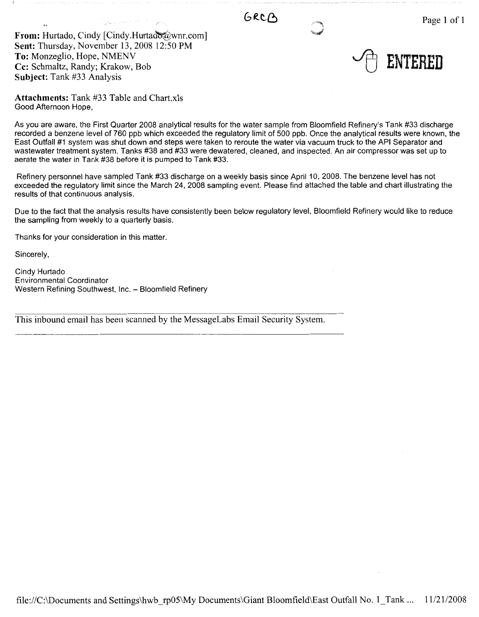GRCA

From: Hurtado, Cindy [Cindy.Hurtado@wnr.com] **Sent:** Thursday, November 13, 2008 12:50 PM **To:** Monzeglio, Hope, NMENV **Cc:** Schmaltz, Randy; Krakow, Bob **Subject:** Tank #33 Analysis

~ **ENTERED** 

**Attachments:** Tank #33 Table and Chart.xis Good Afternoon Hope,

As you are aware, the First Quarter 2008 analytical results for the water sample from Bloomfield Refinery's Tank #33 discharge recorded a benzene level of 760 ppb which exceeded the regulatory limit of 500 ppb. Once the analytical results were known, the East Outfall #1 system was shut down and steps were taken to reroute the water via vacuum truck to the API Separator and wastewater treatment system. Tanks #38 and #33 were dewatered, cleaned, and inspected. An air compressor was set up to aerate the water in Tank #38 before it is pumped to Tank #33.

Refinery personnel have sampled Tank #33 discharge on a weekly basis since April 10, 2008. The benzene level has not exceeded the regulatory limit since the March 24, 2008 sampling event. Please find attached the table and chart illustrating the results of that continuous analysis.

Due to the fact that the analysis results have consistently been below regulatory level, Bloomfield Refinery would like to reduce the sampling from weekly to a quarterly basis.

Thanks for your consideration in this matter.

Sincerely,

Cindy Hurtado Environmental Coordinator Western Refining Southwest, Inc. - Bloomfield Refinery

This inbound email has been scanned by the MessageLabs Email Security System.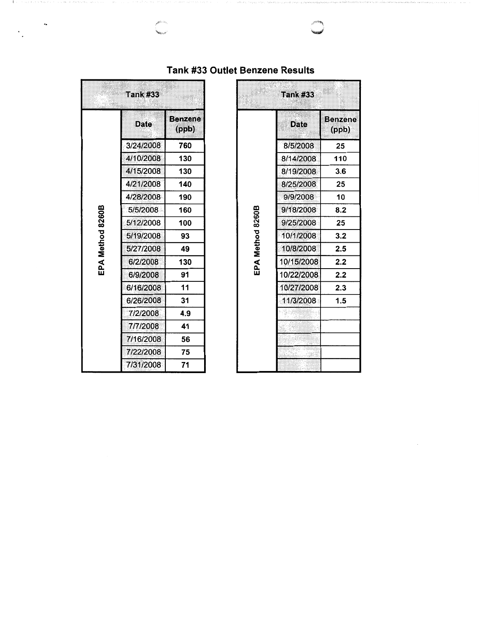|                  | <b>Tank #33</b> | patiett                 |                  | <b>Tank #33</b> |                      |
|------------------|-----------------|-------------------------|------------------|-----------------|----------------------|
|                  | <b>Date</b>     | <b>Benzene</b><br>(ppb) |                  | <b>Date</b>     | <b>Benze</b><br>(ppb |
|                  | 3/24/2008       | 760                     |                  | 8/5/2008        | 25                   |
|                  | 4/10/2008       | 130                     |                  | 8/14/2008       | 110                  |
|                  | 4/15/2008       | 130                     |                  | 8/19/2008       | 3.6                  |
| EPA Method 8260B | 4/21/2008       | 140                     |                  | 8/25/2008       | 25                   |
|                  | 4/28/2008       | 190                     |                  | 9/9/2008        | 10                   |
|                  | 5/5/2008        | 160                     |                  | 9/18/2008       | 8.2                  |
|                  | 5/12/2008       | 100                     |                  | 9/25/2008       | 25                   |
|                  | 5/19/2008       | 93                      | EPA Method 8260B | 10/1/2008       | 3.2                  |
|                  | 5/27/2008       | 49                      |                  | 10/8/2008       | 2.5                  |
|                  | 6/2/2008        | 130                     |                  | 10/15/2008      | 2.2                  |
|                  | 6/9/2008        | 91                      |                  | 10/22/2008      | 2.2                  |
|                  | 6/16/2008       | 11                      |                  | 10/27/2008      | 2.3                  |
|                  | 6/26/2008       | 31                      |                  | 11/3/2008       | 1.5                  |
|                  | 7/2/2008        | 4.9                     |                  |                 |                      |
|                  | 7/7/2008        | 41                      |                  |                 |                      |
|                  | 7/16/2008       | 56                      |                  |                 |                      |
|                  | 7/22/2008       | 75                      |                  |                 |                      |
|                  | 7/31/2008       | 71                      |                  |                 |                      |

## **Tank #33 Outlet Benzene Results**

| <b>Tank #33</b><br><b>STARBAN</b> |                         | <b>Tank #33</b>  |             |                  |
|-----------------------------------|-------------------------|------------------|-------------|------------------|
| <b>Date</b>                       | <b>Benzene</b><br>(ppb) |                  | <b>Date</b> | Benzene<br>(ppb) |
| 3/24/2008                         | 760                     |                  | 8/5/2008    | 25               |
| 4/10/2008                         | 130                     |                  | 8/14/2008   | 110              |
| 4/15/2008                         | 130                     |                  | 8/19/2008   | 3.6              |
| 4/21/2008                         | 140                     |                  | 8/25/2008   | 25               |
| 4/28/2008                         | 190                     |                  | 9/9/2008    | 10               |
| 5/5/2008                          | 160                     |                  | 9/18/2008   | 8.2              |
| 5/12/2008                         | 100                     |                  | 9/25/2008   | 25               |
| 5/19/2008                         | 93                      |                  | 10/1/2008   | 3.2              |
| 5/27/2008                         | 49                      |                  | 10/8/2008   | 2.5              |
| 6/2/2008                          | 130                     | EPA Method 8260B | 10/15/2008  | 2.2              |
| 6/9/2008                          | 91                      |                  | 10/22/2008  | 2.2              |
| 6/16/2008                         | 11                      |                  | 10/27/2008  | 2.3              |
| 6/26/2008                         | 31                      |                  | 11/3/2008   | 1.5              |
| 7/2/2008                          | 4.9                     |                  |             |                  |
| 7/7/2008                          | 41                      |                  |             |                  |
| 7/16/2008                         | 56                      |                  |             |                  |
| 7/22/2008                         | 75                      |                  |             |                  |
| 7/31/2008                         | 71                      |                  |             |                  |

 $\ddot{\phantom{0}}$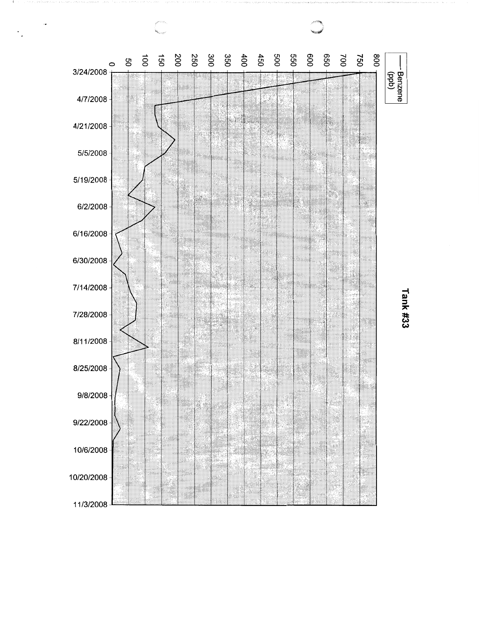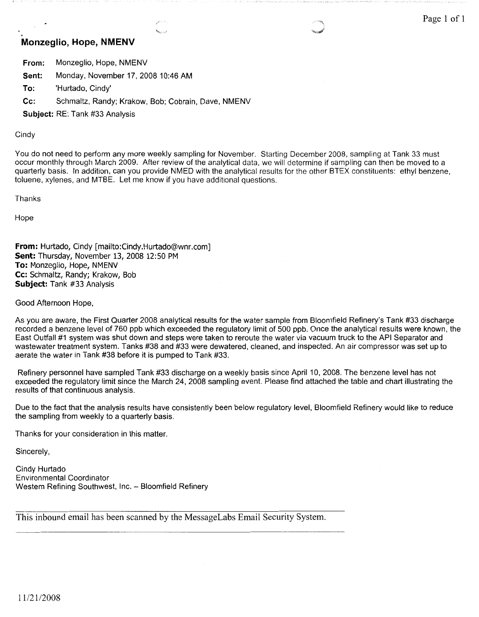## **Monzeglio, Hope, NMENV**

**From:** Monzeglio, Hope, NMENV

**Sent:** Monday, November 17, 2008 10:46 AM

**To:** 'Hurtado, Cindy'

**Cc:** Schmaltz, Randy; Krakow, Bob; Cobrain, Dave, NMENV

**Subject:** RE: Tank #33 Analysis

**Cindy** 

You do not need to perform any more weekly sampling for November. Starting December 2008, sampling at Tank 33 must occur monthly through March 2009. After review of the analytical data, we will determine if sampling can then be moved to a quarterly basis. In addition, can you provide NMED with the analytical results for the other BTEX constituents: ethyl benzene, toluene, xylenes, and MTBE. Let me know if you have additional questions.

Thanks

Hope

**From:** Hurtado, Cindy [mailto:Cindy.Hurtado@wnr.com] **Sent:** Thursday, November 13, 2008 12:50 PM **To:** Monzeglio, Hope, NMENV **Cc:** Schmaltz, Randy; Krakow, Bob **Subject:** Tank #33 Analysis

Good Afternoon Hope,

As you are aware, the First Quarter 2008 analytical results for the water sample from Bloomfield Refinery's Tank #33 discharge recorded a benzene level of 760 ppb which exceeded the regulatory limit of 500 ppb. Once the analytical results were known, the East Outfall #1 system was shut down and steps were taken to reroute the water via vacuum truck to the API Separator and wastewater treatment system. Tanks #38 and #33 were dewatered, cleaned, and inspected. An air compressor was set up to aerate the water in Tank #38 before it is pumped to Tank #33.

Refinery personnel have sampled Tank #33 discharge on a weekly basis since April 10, 2008. The benzene level has not exceeded the regulatory limit since the March 24, 2008 sampling event. Please find attached the table and chart illustrating the results of that continuous analysis.

Due to the fact that the analysis results have consistently been below regulatory level, Bloomfield Refinery would like to reduce the sampling from weekly to a quarterly basis.

Thanks for your consideration in this matter.

Sincerely,

Cindy Hurtado Environmental Coordinator Western Refining Southwest, Inc. - Bloomfield Refinery

This inbound email has been scanned by the MessageLabs Email Security System.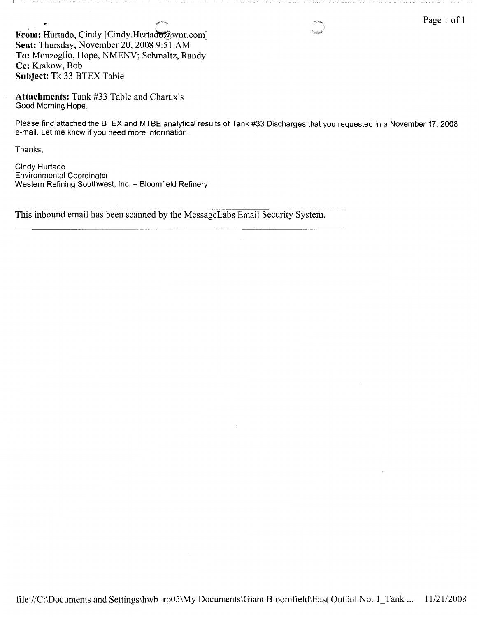Page 1 of 1

**From:** Hurtado, Cindy [Cindy.Hurtado@wnr.com] **Sent:** Thursday, November 20, 2008 9:51 AM **To:** Monzeglio, Hope, NMENV; Schmaltz, Randy **Cc:** Krakow, Bob **Subject:** Tk 33 BTEX Table

**Attachments:** Tank #33 Table and Chart.xls Good Morning Hope,

Please find attached the BTEX and MTBE analytical results of Tank #33 Discharges that you requested in a November 17, 2008 e-mail. Let me know if you need more information.

Thanks,

Cindy Hurtado Environmental Coordinator Western Refining Southwest, Inc. - Bloomfield Refinery

This inbound email has been scanned by the MessageLabs Email Security System.